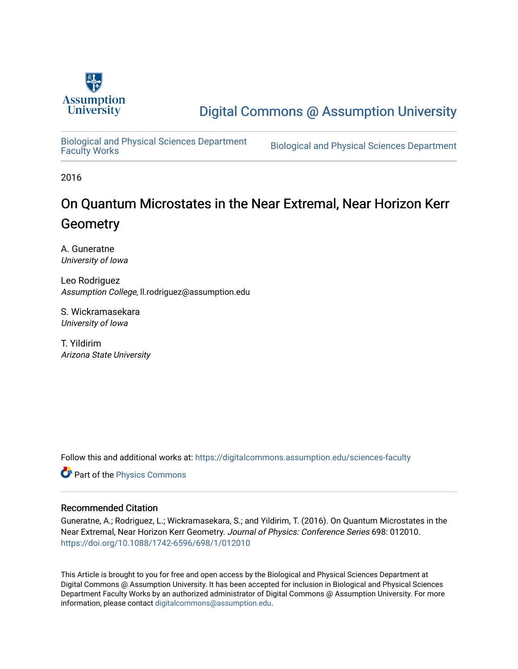

# [Digital Commons @ Assumption University](https://digitalcommons.assumption.edu/)

[Biological and Physical Sciences Department](https://digitalcommons.assumption.edu/sciences-faculty)

Biological and Physical Sciences Department

2016

# On Quantum Microstates in the Near Extremal, Near Horizon Kerr **Geometry**

A. Guneratne University of Iowa

Leo Rodriguez Assumption College, ll.rodriguez@assumption.edu

S. Wickramasekara University of Iowa

T. Yildirim Arizona State University

Follow this and additional works at: [https://digitalcommons.assumption.edu/sciences-faculty](https://digitalcommons.assumption.edu/sciences-faculty?utm_source=digitalcommons.assumption.edu%2Fsciences-faculty%2F3&utm_medium=PDF&utm_campaign=PDFCoverPages) 

Part of the [Physics Commons](http://network.bepress.com/hgg/discipline/193?utm_source=digitalcommons.assumption.edu%2Fsciences-faculty%2F3&utm_medium=PDF&utm_campaign=PDFCoverPages)

## Recommended Citation

Guneratne, A.; Rodriguez, L.; Wickramasekara, S.; and Yildirim, T. (2016). On Quantum Microstates in the Near Extremal, Near Horizon Kerr Geometry. Journal of Physics: Conference Series 698: 012010. <https://doi.org/10.1088/1742-6596/698/1/012010>

This Article is brought to you for free and open access by the Biological and Physical Sciences Department at Digital Commons @ Assumption University. It has been accepted for inclusion in Biological and Physical Sciences Department Faculty Works by an authorized administrator of Digital Commons @ Assumption University. For more information, please contact [digitalcommons@assumption.edu.](mailto:digitalcommons@assumption.edu)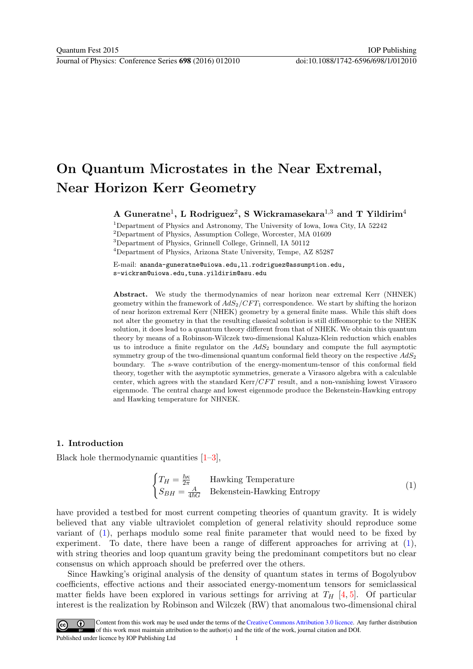# On Quantum Microstates in the Near Extremal, Near Horizon Kerr Geometry

A Guneratne<sup>1</sup>, L Rodriguez<sup>2</sup>, S Wickramasekara<sup>1,3</sup> and T Yildirim<sup>4</sup>

<sup>1</sup>Department of Physics and Astronomy, The University of Iowa, Iowa City, IA 52242

<sup>2</sup>Department of Physics, Assumption College, Worcester, MA 01609

<sup>3</sup>Department of Physics, Grinnell College, Grinnell, IA 50112

<sup>4</sup>Department of Physics, Arizona State University, Tempe, AZ 85287

E-mail: ananda-guneratne@uiowa.edu,ll.rodriguez@assumption.edu, s-wickram@uiowa.edu,tuna.yildirim@asu.edu

Abstract. We study the thermodynamics of near horizon near extremal Kerr (NHNEK) geometry within the framework of  $AdS_2/CFT_1$  correspondence. We start by shifting the horizon of near horizon extremal Kerr (NHEK) geometry by a general finite mass. While this shift does not alter the geometry in that the resulting classical solution is still diffeomorphic to the NHEK solution, it does lead to a quantum theory different from that of NHEK. We obtain this quantum theory by means of a Robinson-Wilczek two-dimensional Kaluza-Klein reduction which enables us to introduce a finite regulator on the  $AdS_2$  boundary and compute the full asymptotic symmetry group of the two-dimensional quantum conformal field theory on the respective  $AdS_2$ boundary. The s-wave contribution of the energy-momentum-tensor of this conformal field theory, together with the asymptotic symmetries, generate a Virasoro algebra with a calculable center, which agrees with the standard  $Kerr/CFT$  result, and a non-vanishing lowest Virasoro eigenmode. The central charge and lowest eigenmode produce the Bekenstein-Hawking entropy and Hawking temperature for NHNEK.

### 1. Introduction

Black hole thermodynamic quantities  $[1-3]$  $[1-3]$ ,

<span id="page-1-0"></span>
$$
\begin{cases}\nT_H = \frac{\hbar \kappa}{2\pi} & \text{Hawking Temperature} \\
S_{BH} = \frac{A}{4\hbar G} & \text{Bekenstein-Hawking Entropy}\n\end{cases} \tag{1}
$$

have provided a testbed for most current competing theories of quantum gravity. It is widely believed that any viable ultraviolet completion of general relativity should reproduce some variant of [\(1\)](#page-1-0), perhaps modulo some real finite parameter that would need to be fixed by experiment. To date, there have been a range of different approaches for arriving at [\(1\)](#page-1-0), with string theories and loop quantum gravity being the predominant competitors but no clear consensus on which approach should be preferred over the others.

Since Hawking's original analysis of the density of quantum states in terms of Bogolyubov coefficients, effective actions and their associated energy-momentum tensors for semiclassical matter fields have been explored in various settings for arriving at  $T_H$  [\[4,](#page-10-2) [5\]](#page-10-3). Of particular interest is the realization by Robinson and Wilczek (RW) that anomalous two-dimensional chiral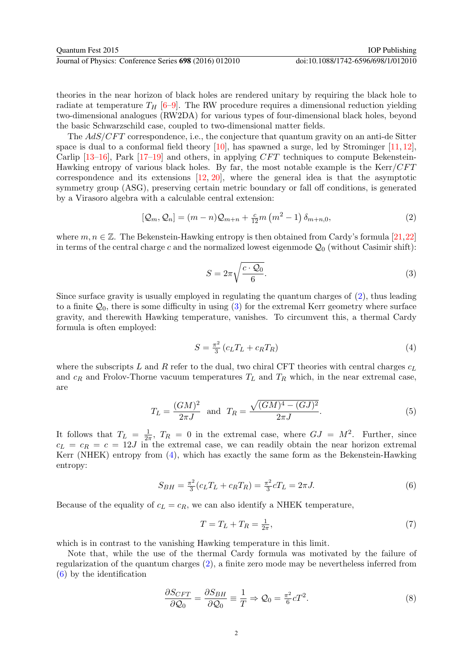theories in the near horizon of black holes are rendered unitary by requiring the black hole to radiate at temperature  $T_H$  [\[6](#page-10-4)[–9\]](#page-11-0). The RW procedure requires a dimensional reduction yielding two-dimensional analogues (RW2DA) for various types of four-dimensional black holes, beyond the basic Schwarzschild case, coupled to two-dimensional matter fields.

The  $AdS/CFT$  correspondence, i.e., the conjecture that quantum gravity on an anti-de Sitter space is dual to a conformal field theory  $[10]$ , has spawned a surge, led by Strominger  $[11, 12]$  $[11, 12]$ , Carlip  $[13-16]$  $[13-16]$ , Park  $[17-19]$  and others, in applying CFT techniques to compute Bekenstein-Hawking entropy of various black holes. By far, the most notable example is the  $Kerr/CFT$ correspondence and its extensions  $[12, 20]$  $[12, 20]$ , where the general idea is that the asymptotic symmetry group (ASG), preserving certain metric boundary or fall off conditions, is generated by a Virasoro algebra with a calculable central extension:

$$
[\mathcal{Q}_m, \mathcal{Q}_n] = (m - n)\mathcal{Q}_{m+n} + \frac{c}{12}m\left(m^2 - 1\right)\delta_{m+n,0},\tag{2}
$$

where  $m, n \in \mathbb{Z}$ . The Bekenstein-Hawking entropy is then obtained from Cardy's formula [\[21,](#page-11-9) [22\]](#page-11-10) in terms of the central charge c and the normalized lowest eigenmode  $\mathcal{Q}_0$  (without Casimir shift):

<span id="page-2-1"></span><span id="page-2-0"></span>
$$
S = 2\pi \sqrt{\frac{c \cdot \mathcal{Q}_0}{6}}.\tag{3}
$$

Since surface gravity is usually employed in regulating the quantum charges of  $(2)$ , thus leading to a finite  $\mathcal{Q}_0$ , there is some difficulty in using [\(3\)](#page-2-1) for the extremal Kerr geometry where surface gravity, and therewith Hawking temperature, vanishes. To circumvent this, a thermal Cardy formula is often employed:

<span id="page-2-6"></span><span id="page-2-2"></span>
$$
S = \frac{\pi^2}{3} \left( c_L T_L + c_R T_R \right) \tag{4}
$$

where the subscripts L and R refer to the dual, two chiral CFT theories with central charges  $c<sub>L</sub>$ and  $c_R$  and Frolov-Thorne vacuum temperatures  $T_L$  and  $T_R$  which, in the near extremal case, are

$$
T_L = \frac{(GM)^2}{2\pi J} \text{ and } T_R = \frac{\sqrt{(GM)^4 - (GJ)^2}}{2\pi J}.
$$
 (5)

It follows that  $T_L = \frac{1}{2i}$  $\frac{1}{2\pi}$ ,  $T_R = 0$  in the extremal case, where  $GJ = M^2$ . Further, since  $c_L = c_R = c = 12J$  in the extremal case, we can readily obtain the near horizon extremal Kerr (NHEK) entropy from [\(4\)](#page-2-2), which has exactly the same form as the Bekenstein-Hawking entropy:

$$
S_{BH} = \frac{\pi^2}{3} (c_L T_L + c_R T_R) = \frac{\pi^2}{3} c T_L = 2\pi J.
$$
\n(6)

Because of the equality of  $c_L = c_R$ , we can also identify a NHEK temperature,

<span id="page-2-5"></span><span id="page-2-4"></span><span id="page-2-3"></span>
$$
T = T_L + T_R = \frac{1}{2\pi},\tag{7}
$$

which is in contrast to the vanishing Hawking temperature in this limit.

Note that, while the use of the thermal Cardy formula was motivated by the failure of regularization of the quantum charges [\(2\)](#page-2-0), a finite zero mode may be nevertheless inferred from [\(6\)](#page-2-3) by the identification

$$
\frac{\partial S_{CFT}}{\partial Q_0} = \frac{\partial S_{BH}}{\partial Q_0} \equiv \frac{1}{T} \Rightarrow Q_0 = \frac{\pi^2}{6} c T^2.
$$
 (8)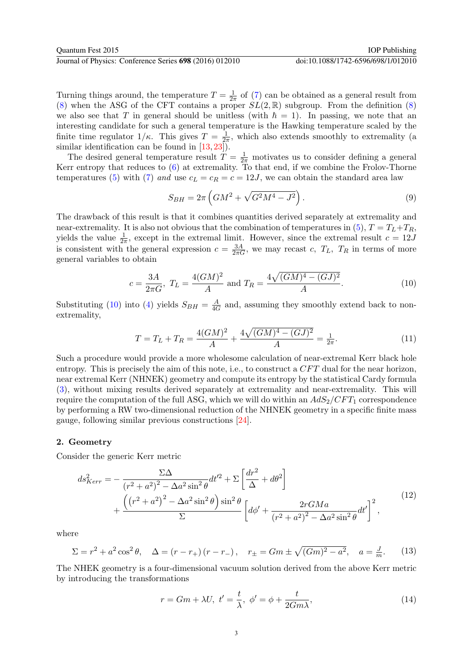Turning things around, the temperature  $T = \frac{1}{2}$  $\frac{1}{2\pi}$  of [\(7\)](#page-2-4) can be obtained as a general result from [\(8\)](#page-2-5) when the ASG of the CFT contains a proper  $SL(2,\mathbb{R})$  subgroup. From the definition [\(8\)](#page-2-5) we also see that T in general should be unitless (with  $\hbar = 1$ ). In passing, we note that an interesting candidate for such a general temperature is the Hawking temperature scaled by the finite time regulator  $1/\kappa$ . This gives  $T = \frac{1}{2\pi}$  $\frac{1}{2\pi}$ , which also extends smoothly to extremality (a similar identification can be found in  $[13, 23]$  $[13, 23]$ .

The desired general temperature result  $\overline{T} = \frac{1}{2\pi}$  motivates us to consider defining a general Kerr entropy that reduces to  $(6)$  at extremality. To that end, if we combine the Frolov-Thorne temperatures [\(5\)](#page-2-6) with [\(7\)](#page-2-4) and use  $c<sub>L</sub> = c<sub>R</sub> = c = 12J$ , we can obtain the standard area law

<span id="page-3-1"></span><span id="page-3-0"></span>
$$
S_{BH} = 2\pi \left( GM^2 + \sqrt{G^2 M^4 - J^2} \right). \tag{9}
$$

The drawback of this result is that it combines quantities derived separately at extremality and near-extremality. It is also not obvious that the combination of temperatures in [\(5\)](#page-2-6),  $T = T_L + T_R$ , yields the value  $\frac{1}{2\pi}$ , except in the extremal limit. However, since the extremal result  $c = 12J$ is consistent with the general expression  $c = \frac{3A}{2\pi G}$ , we may recast c,  $T_L$ ,  $T_R$  in terms of more general variables to obtain

$$
c = \frac{3A}{2\pi G}, \ T_L = \frac{4(GM)^2}{A} \text{ and } T_R = \frac{4\sqrt{(GM)^4 - (GJ)^2}}{A}.
$$
 (10)

Substituting [\(10\)](#page-3-0) into [\(4\)](#page-2-2) yields  $S_{BH} = \frac{A}{40}$  $\frac{A}{4G}$  and, assuming they smoothly extend back to nonextremality,

$$
T = T_L + T_R = \frac{4(GM)^2}{A} + \frac{4\sqrt{(GM)^4 - (GJ)^2}}{A} = \frac{1}{2\pi}.
$$
 (11)

Such a procedure would provide a more wholesome calculation of near-extremal Kerr black hole entropy. This is precisely the aim of this note, i.e., to construct a  $CFT$  dual for the near horizon, near extremal Kerr (NHNEK) geometry and compute its entropy by the statistical Cardy formula [\(3\)](#page-2-1), without mixing results derived separately at extremality and near-extremality. This will require the computation of the full ASG, which we will do within an  $AdS_2/CFT_1$  correspondence by performing a RW two-dimensional reduction of the NHNEK geometry in a specific finite mass gauge, following similar previous constructions [\[24\]](#page-11-12).

#### 2. Geometry

Consider the generic Kerr metric

$$
ds_{Kerr}^{2} = -\frac{\Sigma\Delta}{(r^{2} + a^{2})^{2} - \Delta a^{2}\sin^{2}\theta}dt'^{2} + \Sigma\left[\frac{dr^{2}}{\Delta} + d\theta^{2}\right] + \frac{\left((r^{2} + a^{2})^{2} - \Delta a^{2}\sin^{2}\theta\right)\sin^{2}\theta}{\Sigma}\left[d\phi' + \frac{2rGMa}{(r^{2} + a^{2})^{2} - \Delta a^{2}\sin^{2}\theta}dt'\right]^{2},
$$
\n(12)

where

$$
\Sigma = r^2 + a^2 \cos^2 \theta, \quad \Delta = (r - r_+)(r - r_-), \quad r_{\pm} = Gm \pm \sqrt{(Gm)^2 - a^2}, \quad a = \frac{J}{m}.
$$
 (13)

The NHEK geometry is a four-dimensional vacuum solution derived from the above Kerr metric by introducing the transformations

$$
r = Gm + \lambda U, \ t' = \frac{t}{\lambda}, \ \phi' = \phi + \frac{t}{2Gm\lambda}, \tag{14}
$$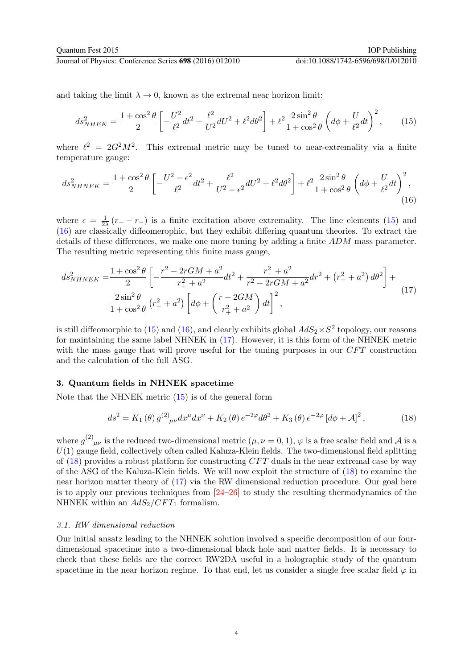and taking the limit  $\lambda \to 0$ , known as the extremal near horizon limit:

<span id="page-4-1"></span><span id="page-4-0"></span>
$$
ds_{NHEK}^2 = \frac{1 + \cos^2 \theta}{2} \left[ -\frac{U^2}{\ell^2} dt^2 + \frac{\ell^2}{U^2} dU^2 + \ell^2 d\theta^2 \right] + \ell^2 \frac{2 \sin^2 \theta}{1 + \cos^2 \theta} \left( d\phi + \frac{U}{\ell^2} dt \right)^2, \tag{15}
$$

where  $\ell^2 = 2G^2M^2$ . This extremal metric may be tuned to near-extremality via a finite temperature gauge:

$$
ds_{NHNEK}^2 = \frac{1 + \cos^2 \theta}{2} \left[ -\frac{U^2 - \epsilon^2}{\ell^2} dt^2 + \frac{\ell^2}{U^2 - \epsilon^2} dU^2 + \ell^2 d\theta^2 \right] + \ell^2 \frac{2 \sin^2 \theta}{1 + \cos^2 \theta} \left( d\phi + \frac{U}{\ell^2} dt \right)^2,
$$
\n(16)

where  $\epsilon = \frac{1}{2}$  $\frac{1}{2\lambda}(r_{+}-r_{-})$  is a finite excitation above extremality. The line elements [\(15\)](#page-4-0) and [\(16\)](#page-4-1) are classically diffeomerophic, but they exhibit differing quantum theories. To extract the details of these differences, we make one more tuning by adding a finite ADM mass parameter. The resulting metric representing this finite mass gauge,

$$
ds_{NHNEK}^2 = \frac{1 + \cos^2 \theta}{2} \left[ -\frac{r^2 - 2rGM + a^2}{r_+^2 + a^2} dt^2 + \frac{r_+^2 + a^2}{r^2 - 2rGM + a^2} dr^2 + (r_+^2 + a^2) d\theta^2 \right] +
$$
  

$$
\frac{2\sin^2 \theta}{1 + \cos^2 \theta} (r_+^2 + a^2) \left[ d\phi + \left( \frac{r - 2GM}{r_+^2 + a^2} \right) dt \right]^2,
$$
 (17)

is still diffeomorphic to [\(15\)](#page-4-0) and [\(16\)](#page-4-1), and clearly exhibits global  $AdS_2 \times S^2$  topology, our reasons for maintaining the same label NHNEK in [\(17\)](#page-4-2). However, it is this form of the NHNEK metric with the mass gauge that will prove useful for the tuning purposes in our  $CFT$  construction and the calculation of the full ASG.

#### 3. Quantum fields in NHNEK spacetime

Note that the NHNEK metric [\(15\)](#page-4-0) is of the general form

<span id="page-4-3"></span><span id="page-4-2"></span>
$$
ds^{2} = K_{1}(\theta) g^{(2)}_{\mu\nu} dx^{\mu} dx^{\nu} + K_{2}(\theta) e^{-2\varphi} d\theta^{2} + K_{3}(\theta) e^{-2\varphi} [d\phi + A]^{2}, \qquad (18)
$$

where  $g^{(2)}_{\mu\nu}$  is the reduced two-dimensional metric  $(\mu, \nu = 0, 1)$ ,  $\varphi$  is a free scalar field and A is a  $U(1)$  gauge field, collectively often called Kaluza-Klein fields. The two-dimensional field splitting of  $(18)$  provides a robust platform for constructing CFT duals in the near extremal case by way of the ASG of the Kaluza-Klein fields. We will now exploit the structure of [\(18\)](#page-4-3) to examine the near horizon matter theory of [\(17\)](#page-4-2) via the RW dimensional reduction procedure. Our goal here is to apply our previous techniques from  $[24–26]$  $[24–26]$  to study the resulting thermodynamics of the NHNEK within an  $AdS_2/CFT_1$  formalism.

#### 3.1. RW dimensional reduction

Our initial ansatz leading to the NHNEK solution involved a specific decomposition of our fourdimensional spacetime into a two-dimensional black hole and matter fields. It is necessary to check that these fields are the correct RW2DA useful in a holographic study of the quantum spacetime in the near horizon regime. To that end, let us consider a single free scalar field  $\varphi$  in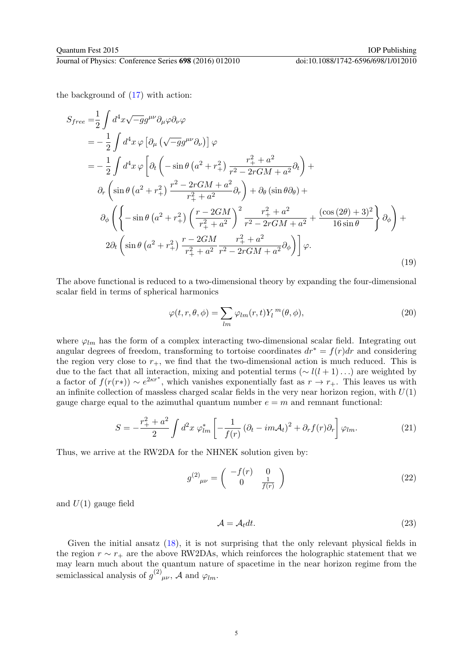the background of [\(17\)](#page-4-2) with action:

$$
S_{free} = \frac{1}{2} \int d^4x \sqrt{-g} g^{\mu\nu} \partial_{\mu}\varphi \partial_{\nu}\varphi
$$
  
=  $-\frac{1}{2} \int d^4x \varphi \left[ \partial_{\mu} \left( \sqrt{-g} g^{\mu\nu} \partial_{\nu} \right) \right] \varphi$   
=  $-\frac{1}{2} \int d^4x \varphi \left[ \partial_t \left( -\sin \theta \left( a^2 + r_+^2 \right) \frac{r_+^2 + a^2}{r^2 - 2rGM + a^2} \partial_t \right) + \partial_r \left( \sin \theta \left( a^2 + r_+^2 \right) \frac{r_-^2 - 2rGM + a^2}{r_+^2 + a^2} \partial_r \right) + \partial_{\theta} (\sin \theta \partial_{\theta}) + \partial_{\phi} \left( \left\{ -\sin \theta \left( a^2 + r_+^2 \right) \left( \frac{r - 2GM}{r_+^2 + a^2} \right)^2 \frac{r_+^2 + a^2}{r^2 - 2rGM + a^2} + \frac{(\cos (2\theta) + 3)^2}{16 \sin \theta} \right\} \partial_{\phi} \right) + \partial_{\theta} \left( \sin \theta \left( a^2 + r_+^2 \right) \frac{r - 2GM}{r_+^2 + a^2} \frac{r_+^2 + a^2}{r^2 - 2rGM + a^2} \partial_{\phi} \right) \right] \varphi.$  (19)

The above functional is reduced to a two-dimensional theory by expanding the four-dimensional scalar field in terms of spherical harmonics

$$
\varphi(t,r,\theta,\phi) = \sum_{lm} \varphi_{lm}(r,t) Y_l^m(\theta,\phi), \qquad (20)
$$

where  $\varphi_{lm}$  has the form of a complex interacting two-dimensional scalar field. Integrating out angular degrees of freedom, transforming to tortoise coordinates  $dr^* = f(r)dr$  and considering the region very close to  $r_{+}$ , we find that the two-dimensional action is much reduced. This is due to the fact that all interaction, mixing and potential terms ( $\sim l(l+1)...$ ) are weighted by a factor of  $f(r(r*)) \sim e^{2\kappa r^*}$ , which vanishes exponentially fast as  $r \to r_+$ . This leaves us with an infinite collection of massless charged scalar fields in the very near horizon region, with  $U(1)$ gauge charge equal to the azimuthal quantum number  $e = m$  and remnant functional:

$$
S = -\frac{r_+^2 + a^2}{2} \int d^2x \, \varphi_{lm}^* \left[ -\frac{1}{f(r)} \left( \partial_t - im\mathcal{A}_t \right)^2 + \partial_r f(r) \partial_r \right] \varphi_{lm}.
$$
 (21)

Thus, we arrive at the RW2DA for the NHNEK solution given by:

$$
g^{(2)}_{\mu\nu} = \begin{pmatrix} -f(r) & 0\\ 0 & \frac{1}{f(r)} \end{pmatrix} \tag{22}
$$

and  $U(1)$  gauge field

<span id="page-5-2"></span><span id="page-5-1"></span><span id="page-5-0"></span>
$$
\mathcal{A} = \mathcal{A}_t dt. \tag{23}
$$

Given the initial ansatz [\(18\)](#page-4-3), it is not surprising that the only relevant physical fields in the region  $r \sim r_+$  are the above RW2DAs, which reinforces the holographic statement that we may learn much about the quantum nature of spacetime in the near horizon regime from the semiclassical analysis of  $g^{(2)}_{\mu\nu}$ , A and  $\varphi_{lm}$ .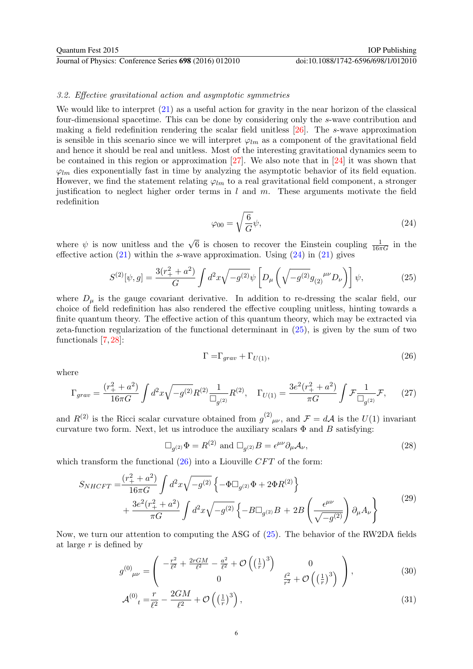#### 3.2. Effective gravitational action and asymptotic symmetries

We would like to interpret  $(21)$  as a useful action for gravity in the near horizon of the classical four-dimensional spacetime. This can be done by considering only the s-wave contribution and making a field redefinition rendering the scalar field unitless [\[26\]](#page-11-13). The s-wave approximation is sensible in this scenario since we will interpret  $\varphi_{lm}$  as a component of the gravitational field and hence it should be real and unitless. Most of the interesting gravitational dynamics seem to be contained in this region or approximation [\[27\]](#page-11-14). We also note that in [\[24\]](#page-11-12) it was shown that  $\varphi_{lm}$  dies exponentially fast in time by analyzing the asymptotic behavior of its field equation. However, we find the statement relating  $\varphi_{lm}$  to a real gravitational field component, a stronger justification to neglect higher order terms in  $l$  and  $m$ . These arguments motivate the field redefinition

<span id="page-6-1"></span><span id="page-6-0"></span>
$$
\varphi_{00} = \sqrt{\frac{6}{G}}\psi,\tag{24}
$$

where  $\psi$  is now unitless and the  $\sqrt{6}$  is chosen to recover the Einstein coupling  $\frac{1}{16\pi G}$  in the effective action  $(21)$  within the s-wave approximation. Using  $(24)$  in  $(21)$  gives

$$
S^{(2)}[\psi, g] = \frac{3(r_+^2 + a^2)}{G} \int d^2x \sqrt{-g^{(2)}} \psi \left[ D_\mu \left( \sqrt{-g^{(2)}} g_{(2)}^{\mu\nu} D_\nu \right) \right] \psi, \tag{25}
$$

where  $D_{\mu}$  is the gauge covariant derivative. In addition to re-dressing the scalar field, our choice of field redefinition has also rendered the effective coupling unitless, hinting towards a finite quantum theory. The effective action of this quantum theory, which may be extracted via zeta-function regularization of the functional determinant in [\(25\)](#page-6-1), is given by the sum of two functionals [\[7,](#page-10-5) [28\]](#page-11-15):

<span id="page-6-3"></span><span id="page-6-2"></span>
$$
\Gamma = \Gamma_{grav} + \Gamma_{U(1)},\tag{26}
$$

where

$$
\Gamma_{grav} = \frac{(r_+^2 + a^2)}{16\pi G} \int d^2x \sqrt{-g^{(2)}} R^{(2)} \frac{1}{\Box_{g^{(2)}}} R^{(2)}, \quad \Gamma_{U(1)} = \frac{3e^2(r_+^2 + a^2)}{\pi G} \int \mathcal{F} \frac{1}{\Box_{g^{(2)}}} \mathcal{F},\tag{27}
$$

and  $R^{(2)}$  is the Ricci scalar curvature obtained from  $g^{(2)}_{\mu\nu}$ , and  $\mathcal{F} = d\mathcal{A}$  is the  $U(1)$  invariant curvature two form. Next, let us introduce the auxiliary scalars  $\Phi$  and B satisfying:

<span id="page-6-4"></span>
$$
\Box_{g^{(2)}} \Phi = R^{(2)} \text{ and } \Box_{g^{(2)}} B = \epsilon^{\mu\nu} \partial_{\mu} \mathcal{A}_{\nu}, \tag{28}
$$

which transform the functional  $(26)$  into a Liouville CFT of the form:

$$
S_{NHCFT} = \frac{(r_+^2 + a^2)}{16\pi G} \int d^2x \sqrt{-g^{(2)}} \left\{-\Phi \Box_{g^{(2)}} \Phi + 2\Phi R^{(2)}\right\} + \frac{3e^2(r_+^2 + a^2)}{\pi G} \int d^2x \sqrt{-g^{(2)}} \left\{-B \Box_{g^{(2)}} B + 2B \left(\frac{\epsilon^{\mu\nu}}{\sqrt{-g^{(2)}}}\right) \partial_\mu A_\nu\right\}
$$
(29)

Now, we turn our attention to computing the ASG of [\(25\)](#page-6-1). The behavior of the RW2DA fields at large  $r$  is defined by

$$
g^{(0)}_{\mu\nu} = \begin{pmatrix} -\frac{r^2}{\ell^2} + \frac{2rGM}{\ell^2} - \frac{a^2}{\ell^2} + \mathcal{O}\left(\left(\frac{1}{r}\right)^3\right) & 0\\ 0 & \frac{\ell^2}{r^2} + \mathcal{O}\left(\left(\frac{1}{r}\right)^3\right) \end{pmatrix},
$$
(30)

<span id="page-6-5"></span>
$$
\mathcal{A}^{(0)}_{t} = \frac{r}{\ell^2} - \frac{2GM}{\ell^2} + \mathcal{O}\left(\left(\frac{1}{r}\right)^3\right),\tag{31}
$$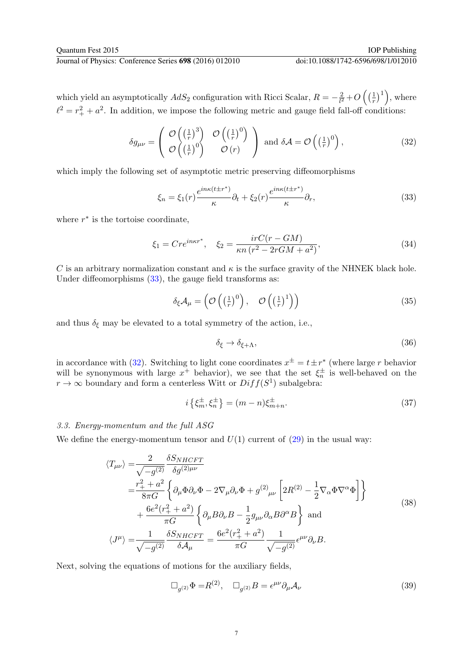which yield an asymptotically  $AdS_2$  configuration with Ricci Scalar,  $R = -\frac{2}{l^2}$  $\frac{2}{l^2}+O\left(\left(\frac{1}{r}\right)$  $(\frac{1}{r})^1$ , where  $\ell^2 = r_+^2 + a^2$ . In addition, we impose the following metric and gauge field fall-off conditions:

$$
\delta g_{\mu\nu} = \begin{pmatrix} \mathcal{O}\left(\left(\frac{1}{r}\right)^3\right) & \mathcal{O}\left(\left(\frac{1}{r}\right)^0\right) \\ \mathcal{O}\left(\left(\frac{1}{r}\right)^0\right) & \mathcal{O}\left(r\right) \end{pmatrix} \text{ and } \delta \mathcal{A} = \mathcal{O}\left(\left(\frac{1}{r}\right)^0\right), \tag{32}
$$

which imply the following set of asymptotic metric preserving diffeomorphisms

<span id="page-7-1"></span>
$$
\xi_n = \xi_1(r) \frac{e^{in\kappa(t \pm r^*)}}{\kappa} \partial_t + \xi_2(r) \frac{e^{in\kappa(t \pm r^*)}}{\kappa} \partial_r,\tag{33}
$$

where  $r^*$  is the tortoise coordinate,

$$
\xi_1 = Cre^{in\kappa r^*}, \quad \xi_2 = \frac{irC(r - GM)}{\kappa n (r^2 - 2rGM + a^2)},\tag{34}
$$

C is an arbitrary normalization constant and  $\kappa$  is the surface gravity of the NHNEK black hole. Under diffeomorphisms  $(33)$ , the gauge field transforms as:

$$
\delta_{\xi} \mathcal{A}_{\mu} = \left( \mathcal{O} \left( \left( \frac{1}{r} \right)^{0} \right), \quad \mathcal{O} \left( \left( \frac{1}{r} \right)^{1} \right) \right) \tag{35}
$$

and thus  $\delta_{\xi}$  may be elevated to a total symmetry of the action, i.e.,

<span id="page-7-0"></span>
$$
\delta_{\xi} \to \delta_{\xi+\Lambda},\tag{36}
$$

in accordance with [\(32\)](#page-7-1). Switching to light cone coordinates  $x^{\pm} = t \pm r^*$  (where large r behavior will be synonymous with large  $x^+$  behavior), we see that the set  $\xi_n^{\pm}$  is well-behaved on the  $r \to \infty$  boundary and form a centerless Witt or  $Diff(S^1)$  subalgebra:

<span id="page-7-2"></span>
$$
i\left\{\xi_m^{\pm}, \xi_n^{\pm}\right\} = (m-n)\xi_{m+n}^{\pm}.
$$
 (37)

### 3.3. Energy-momentum and the full ASG

We define the energy-momentum tensor and  $U(1)$  current of  $(29)$  in the usual way:

$$
\langle T_{\mu\nu} \rangle = \frac{2}{\sqrt{-g^{(2)}}} \frac{\delta S_{NHCFT}}{\delta g^{(2)\mu\nu}} \n= \frac{r_+^2 + a^2}{8\pi G} \left\{ \partial_\mu \Phi \partial_\nu \Phi - 2\nabla_\mu \partial_\nu \Phi + g^{(2)}_{\mu\nu} \left[ 2R^{(2)} - \frac{1}{2} \nabla_\alpha \Phi \nabla^\alpha \Phi \right] \right\} \n+ \frac{6e^2(r_+^2 + a^2)}{\pi G} \left\{ \partial_\mu B \partial_\nu B - \frac{1}{2} g_{\mu\nu} \partial_\alpha B \partial^\alpha B \right\} \text{ and} \n\langle J^\mu \rangle = \frac{1}{\sqrt{-g^{(2)}}} \frac{\delta S_{NHCFT}}{\delta \mathcal{A}_\mu} = \frac{6e^2(r_+^2 + a^2)}{\pi G} \frac{1}{\sqrt{-g^{(2)}}} \epsilon^{\mu\nu} \partial_\nu B.
$$
\n(38)

Next, solving the equations of motions for the auxiliary fields,

<span id="page-7-3"></span>
$$
\Box_{g^{(2)}} \Phi = R^{(2)}, \quad \Box_{g^{(2)}} B = \epsilon^{\mu\nu} \partial_{\mu} A_{\nu}
$$
\n(39)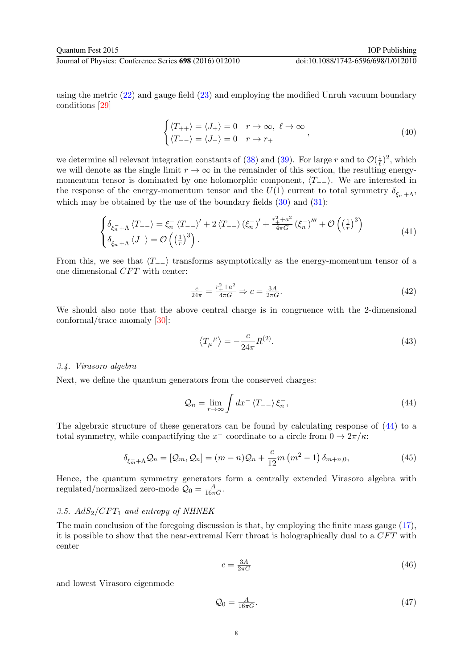using the metric [\(22\)](#page-5-1) and gauge field [\(23\)](#page-5-2) and employing the modified Unruh vacuum boundary conditions [\[29\]](#page-11-16)

<span id="page-8-2"></span>
$$
\begin{cases} \langle T_{++} \rangle = \langle J_{+} \rangle = 0 & r \to \infty, \ \ell \to \infty \\ \langle T_{--} \rangle = \langle J_{-} \rangle = 0 & r \to r_{+} \end{cases}
$$
\n
$$
(40)
$$

we determine all relevant integration constants of [\(38\)](#page-7-2) and [\(39\)](#page-7-3). For large r and to  $\mathcal{O}(\frac{1}{\ell})$  $(\frac{1}{\ell})^2$ , which we will denote as the single limit  $r \to \infty$  in the remainder of this section, the resulting energymomentum tensor is dominated by one holomorphic component,  $\langle T_{-+} \rangle$ . We are interested in the response of the energy-momentum tensor and the  $U(1)$  current to total symmetry  $\delta_{\xi_n^-+\Lambda}$ , which may be obtained by the use of the boundary fields  $(30)$  and  $(31)$ :

$$
\begin{cases} \delta_{\xi_{n}^{-}+\Lambda} \left\langle T_{--} \right\rangle = \xi_{n}^{-} \left\langle T_{--} \right\rangle' + 2 \left\langle T_{--} \right\rangle \left(\xi_{n}^{-} \right)' + \frac{r_{+}^{2} + a^{2}}{4\pi G} \left(\xi_{n}^{-} \right)''' + \mathcal{O}\left(\left(\frac{1}{r}\right)^{3}\right) \\ \delta_{\xi_{n}^{-}+\Lambda} \left\langle J_{-} \right\rangle = \mathcal{O}\left(\left(\frac{1}{r}\right)^{3}\right). \end{cases}
$$
\n(41)

From this, we see that  $\langle T_{-\alpha} \rangle$  transforms asymptotically as the energy-momentum tensor of a one dimensional  $CFT$  with center:

$$
\frac{c}{24\pi} = \frac{r_+^2 + a^2}{4\pi G} \Rightarrow c = \frac{3A}{2\pi G}.\tag{42}
$$

We should also note that the above central charge is in congruence with the 2-dimensional conformal/trace anomaly [\[30\]](#page-11-17):

<span id="page-8-3"></span><span id="page-8-0"></span>
$$
\left\langle T_{\mu}{}^{\mu}\right\rangle = -\frac{c}{24\pi}R^{(2)}.\tag{43}
$$

#### 3.4. Virasoro algebra

Next, we define the quantum generators from the conserved charges:

$$
\mathcal{Q}_n = \lim_{r \to \infty} \int dx^- \left\langle T_{--} \right\rangle \xi_n^-, \tag{44}
$$

The algebraic structure of these generators can be found by calculating response of [\(44\)](#page-8-0) to a total symmetry, while compactifying the  $x^-$  coordinate to a circle from  $0 \to 2\pi/\kappa$ :

$$
\delta_{\xi_m^- + \Lambda} \mathcal{Q}_n = [\mathcal{Q}_m, \mathcal{Q}_n] = (m - n)\mathcal{Q}_n + \frac{c}{12}m(m^2 - 1)\,\delta_{m+n,0},\tag{45}
$$

Hence, the quantum symmetry generators form a centrally extended Virasoro algebra with regulated/normalized zero-mode  $Q_0 = \frac{A}{16\pi G}$ .

#### 3.5.  $AdS_2/CFT_1$  and entropy of NHNEK

The main conclusion of the foregoing discussion is that, by employing the finite mass gauge [\(17\)](#page-4-2), it is possible to show that the near-extremal Kerr throat is holographically dual to a  $CFT$  with center

<span id="page-8-1"></span>
$$
c = \frac{3A}{2\pi G} \tag{46}
$$

and lowest Virasoro eigenmode

$$
\mathcal{Q}_0 = \frac{A}{16\pi G}.\tag{47}
$$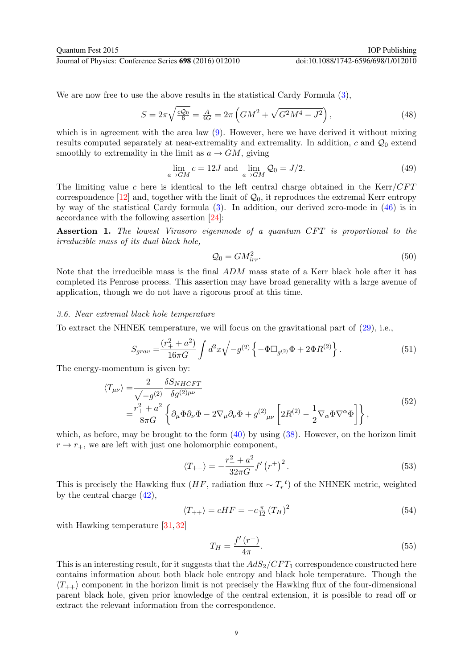We are now free to use the above results in the statistical Cardy Formula [\(3\)](#page-2-1),

$$
S = 2\pi \sqrt{\frac{c\mathcal{Q}_0}{6}} = \frac{A}{4G} = 2\pi \left( GM^2 + \sqrt{G^2 M^4 - J^2} \right),\tag{48}
$$

which is in agreement with the area law  $(9)$ . However, here we have derived it without mixing results computed separately at near-extremality and extremality. In addition,  $c$  and  $\mathcal{Q}_0$  extend smoothly to extremality in the limit as  $a \to GM$ , giving

$$
\lim_{a \to GM} c = 12J \text{ and } \lim_{a \to GM} \mathcal{Q}_0 = J/2. \tag{49}
$$

The limiting value c here is identical to the left central charge obtained in the  $Kerr/CFT$ correspondence [\[12\]](#page-11-3) and, together with the limit of  $\mathcal{Q}_0$ , it reproduces the extremal Kerr entropy by way of the statistical Cardy formula [\(3\)](#page-2-1). In addition, our derived zero-mode in [\(46\)](#page-8-1) is in accordance with the following assertion [\[24\]](#page-11-12):

<span id="page-9-0"></span>Assertion 1. The lowest Virasoro eigenmode of a quantum  $CFT$  is proportional to the irreducible mass of its dual black hole,

$$
\mathcal{Q}_0 = GM_{irr}^2. \tag{50}
$$

Note that the irreducible mass is the final ADM mass state of a Kerr black hole after it has completed its Penrose process. This assertion may have broad generality with a large avenue of application, though we do not have a rigorous proof at this time.

#### 3.6. Near extremal black hole temperature

To extract the NHNEK temperature, we will focus on the gravitational part of [\(29\)](#page-6-3), i.e.,

$$
S_{grav} = \frac{(r_+^2 + a^2)}{16\pi G} \int d^2x \sqrt{-g^{(2)}} \left\{-\Phi \Box_{g^{(2)}} \Phi + 2\Phi R^{(2)}\right\}.
$$
 (51)

The energy-momentum is given by:

$$
\langle T_{\mu\nu} \rangle = \frac{2}{\sqrt{-g^{(2)}}} \frac{\delta S_{NHCFT}}{\delta g^{(2)\mu\nu}} \n= \frac{r_+^2 + a^2}{8\pi G} \left\{ \partial_\mu \Phi \partial_\nu \Phi - 2\nabla_\mu \partial_\nu \Phi + g^{(2)}_{\mu\nu} \left[ 2R^{(2)} - \frac{1}{2} \nabla_\alpha \Phi \nabla^\alpha \Phi \right] \right\},
$$
\n(52)

which, as before, may be brought to the form  $(40)$  by using  $(38)$ . However, on the horizon limit  $r \to r_+$ , we are left with just one holomorphic component,

$$
\langle T_{++} \rangle = -\frac{r_+^2 + a^2}{32\pi G} f' (r^+)^2.
$$
 (53)

This is precisely the Hawking flux ( $HF$ , radiation flux ~  $T_r^t$ ) of the NHNEK metric, weighted by the central charge  $(42)$ ,

$$
\langle T_{++} \rangle = cHF = -c\frac{\pi}{12} \left( T_H \right)^2 \tag{54}
$$

with Hawking temperature [\[31,](#page-11-18) [32\]](#page-11-19)

$$
T_H = \frac{f'(r^+)}{4\pi}.
$$
\n(55)

This is an interesting result, for it suggests that the  $AdS_2/CFT_1$  correspondence constructed here contains information about both black hole entropy and black hole temperature. Though the  $\langle T_{++} \rangle$  component in the horizon limit is not precisely the Hawking flux of the four-dimensional parent black hole, given prior knowledge of the central extension, it is possible to read off or extract the relevant information from the correspondence.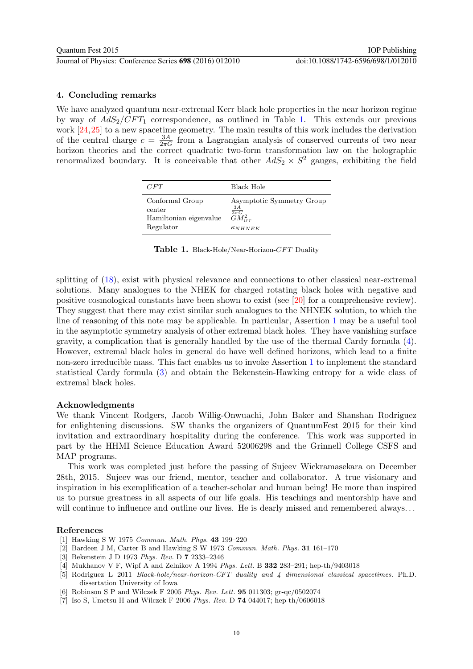### 4. Concluding remarks

We have analyzed quantum near-extremal Kerr black hole properties in the near horizon regime by way of  $AdS_2/CFT_1$  correspondence, as outlined in Table [1.](#page-10-6) This extends our previous work [\[24,](#page-11-12)[25\]](#page-11-20) to a new spacetime geometry. The main results of this work includes the derivation of the central charge  $c = \frac{3A}{2\pi G}$  from a Lagrangian analysis of conserved currents of two near horizon theories and the correct quadratic two-form transformation law on the holographic renormalized boundary. It is conceivable that other  $AdS_2 \times S^2$  gauges, exhibiting the field

| CFT                                                              | Black Hole                                                                        |
|------------------------------------------------------------------|-----------------------------------------------------------------------------------|
| Conformal Group<br>center<br>Hamiltonian eigenvalue<br>Regulator | Asymptotic Symmetry Group<br>$\frac{3A}{2\pi G}$ $GM_{irr}^2$<br>$\kappa_{NHNEK}$ |

<span id="page-10-6"></span>Table 1. Black-Hole/Near-Horizon-CFT Duality

splitting of [\(18\)](#page-4-3), exist with physical relevance and connections to other classical near-extremal solutions. Many analogues to the NHEK for charged rotating black holes with negative and positive cosmological constants have been shown to exist (see [\[20\]](#page-11-8) for a comprehensive review). They suggest that there may exist similar such analogues to the NHNEK solution, to which the line of reasoning of this note may be applicable. In particular, Assertion [1](#page-9-0) may be a useful tool in the asymptotic symmetry analysis of other extremal black holes. They have vanishing surface gravity, a complication that is generally handled by the use of the thermal Cardy formula [\(4\)](#page-2-2). However, extremal black holes in general do have well defined horizons, which lead to a finite non-zero irreducible mass. This fact enables us to invoke Assertion [1](#page-9-0) to implement the standard statistical Cardy formula [\(3\)](#page-2-1) and obtain the Bekenstein-Hawking entropy for a wide class of extremal black holes.

#### Acknowledgments

We thank Vincent Rodgers, Jacob Willig-Onwuachi, John Baker and Shanshan Rodriguez for enlightening discussions. SW thanks the organizers of QuantumFest 2015 for their kind invitation and extraordinary hospitality during the conference. This work was supported in part by the HHMI Science Education Award 52006298 and the Grinnell College CSFS and MAP programs.

This work was completed just before the passing of Sujeev Wickramasekara on December 28th, 2015. Sujeev was our friend, mentor, teacher and collaborator. A true visionary and inspiration in his exemplification of a teacher-scholar and human being! He more than inspired us to pursue greatness in all aspects of our life goals. His teachings and mentorship have and will continue to influence and outline our lives. He is dearly missed and remembered always...

#### References

- <span id="page-10-0"></span>[1] Hawking S W 1975 Commun. Math. Phys. 43 199–220
- [2] Bardeen J M, Carter B and Hawking S W 1973 Commun. Math. Phys. 31 161–170
- <span id="page-10-1"></span>[3] Bekenstein J D 1973 Phys. Rev. D 7 2333–2346
- <span id="page-10-2"></span>[4] Mukhanov V F, Wipf A and Zelnikov A 1994 Phys. Lett. B 332 283–291; hep-th/9403018
- <span id="page-10-3"></span>[5] Rodriguez L 2011 Black-hole/near-horizon-CFT duality and 4 dimensional classical spacetimes. Ph.D. dissertation University of Iowa
- <span id="page-10-4"></span>[6] Robinson S P and Wilczek F 2005 Phys. Rev. Lett. 95 011303; gr-qc/0502074
- <span id="page-10-5"></span>[7] Iso S, Umetsu H and Wilczek F 2006 Phys. Rev. D 74 044017; hep-th/0606018